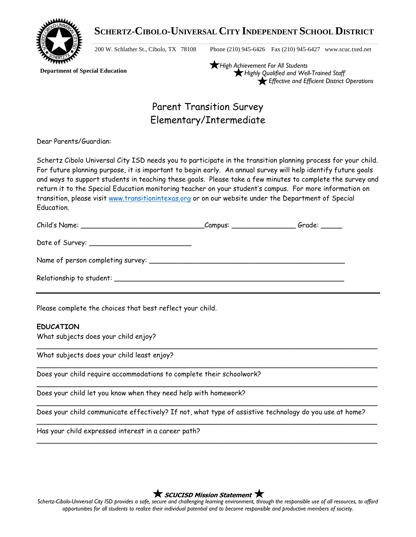

 **SCHERTZ-CIBOLO-UNIVERSAL CITY INDEPENDENT SCHOOL DISTRICT**

200 W. Schlather St., Cibolo, TX 78108 Phone (210) 945-6426 Fax (210) 945-6427 www.scuc.txed.net

 **Department of Special Education**

*High Achievement For All Students Highly Qualified and Well-Trained Staff Effective and Efficient District Operations*

# Parent Transition Survey Elementary/Intermediate

Dear Parents/Guardian:

Schertz Cibolo Universal City ISD needs you to participate in the transition planning process for your child. For future planning purpose, it is important to begin early. An annual survey will help identify future goals and ways to support students in teaching these goals. Please take a few minutes to complete the survey and return it to the Special Education monitoring teacher on your student's campus. For more information on transition, please visit [www.transitionintexas.org](http://www.transitionintexas.org/) or on our website under the Department of Special Education.

|  | Grade: _____ |
|--|--------------|
|  |              |
|  |              |
|  |              |

Please complete the choices that best reflect your child.

# **EDUCATION**

What subjects does your child enjoy?

What subjects does your child least enjoy?

Does your child require accommodations to complete their schoolwork?

Does your child let you know when they need help with homework?

Does your child communicate effectively? If not, what type of assistive technology do you use at home?

\_\_\_\_\_\_\_\_\_\_\_\_\_\_\_\_\_\_\_\_\_\_\_\_\_\_\_\_\_\_\_\_\_\_\_\_\_\_\_\_\_\_\_\_\_\_\_\_\_\_\_\_\_\_\_\_\_\_\_\_\_\_\_\_\_\_\_\_\_\_\_\_\_\_\_\_\_\_\_\_

\_\_\_\_\_\_\_\_\_\_\_\_\_\_\_\_\_\_\_\_\_\_\_\_\_\_\_\_\_\_\_\_\_\_\_\_\_\_\_\_\_\_\_\_\_\_\_\_\_\_\_\_\_\_\_\_\_\_\_\_\_\_\_\_\_\_\_\_\_\_\_\_\_\_\_\_\_\_\_\_

\_\_\_\_\_\_\_\_\_\_\_\_\_\_\_\_\_\_\_\_\_\_\_\_\_\_\_\_\_\_\_\_\_\_\_\_\_\_\_\_\_\_\_\_\_\_\_\_\_\_\_\_\_\_\_\_\_\_\_\_\_\_\_\_\_\_\_\_\_\_\_\_\_\_\_\_\_\_\_\_

\_\_\_\_\_\_\_\_\_\_\_\_\_\_\_\_\_\_\_\_\_\_\_\_\_\_\_\_\_\_\_\_\_\_\_\_\_\_\_\_\_\_\_\_\_\_\_\_\_\_\_\_\_\_\_\_\_\_\_\_\_\_\_\_\_\_\_\_\_\_\_\_\_\_\_\_\_\_\_\_

\_\_\_\_\_\_\_\_\_\_\_\_\_\_\_\_\_\_\_\_\_\_\_\_\_\_\_\_\_\_\_\_\_\_\_\_\_\_\_\_\_\_\_\_\_\_\_\_\_\_\_\_\_\_\_\_\_\_\_\_\_\_\_\_\_\_\_\_\_\_\_\_\_\_\_\_\_\_\_\_

\_\_\_\_\_\_\_\_\_\_\_\_\_\_\_\_\_\_\_\_\_\_\_\_\_\_\_\_\_\_\_\_\_\_\_\_\_\_\_\_\_\_\_\_\_\_\_\_\_\_\_\_\_\_\_\_\_\_\_\_\_\_\_\_\_\_\_\_\_\_\_\_\_\_\_\_\_\_\_\_

Has your child expressed interest in a career path?

**K** SCUCISD Mission Statement **K** 

*Schertz-Cibolo-Universal City ISD provides a safe, secure and challenging learning environment, through the responsible use of all resources, to afford opportunities for all students to realize their individual potential and to become responsible and productive members of society.*